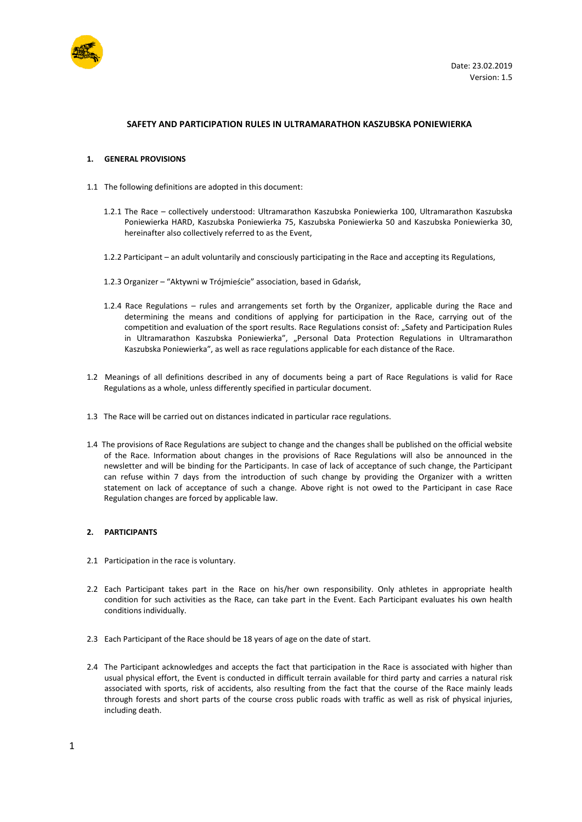

### **SAFETY AND PARTICIPATION RULES IN ULTRAMARATHON KASZUBSKA PONIEWIERKA**

#### **1. GENERAL PROVISIONS**

- 1.1 The following definitions are adopted in this document:
	- 1.2.1 The Race collectively understood: Ultramarathon Kaszubska Poniewierka 100, Ultramarathon Kaszubska Poniewierka HARD, Kaszubska Poniewierka 75, Kaszubska Poniewierka 50 and Kaszubska Poniewierka 30, hereinafter also collectively referred to as the Event,
	- 1.2.2 Participant an adult voluntarily and consciously participating in the Race and accepting its Regulations,
	- 1.2.3 Organizer "Aktywni w Trójmieście" association, based in Gdańsk,
	- 1.2.4 Race Regulations rules and arrangements set forth by the Organizer, applicable during the Race and determining the means and conditions of applying for participation in the Race, carrying out of the competition and evaluation of the sport results. Race Regulations consist of: "Safety and Participation Rules in Ultramarathon Kaszubska Poniewierka", "Personal Data Protection Regulations in Ultramarathon Kaszubska Poniewierka", as well as race regulations applicable for each distance of the Race.
- 1.2 Meanings of all definitions described in any of documents being a part of Race Regulations is valid for Race Regulations as a whole, unless differently specified in particular document.
- 1.3 The Race will be carried out on distances indicated in particular race regulations.
- 1.4 The provisions of Race Regulations are subject to change and the changes shall be published on the official website of the Race. Information about changes in the provisions of Race Regulations will also be announced in the newsletter and will be binding for the Participants. In case of lack of acceptance of such change, the Participant can refuse within 7 days from the introduction of such change by providing the Organizer with a written statement on lack of acceptance of such a change. Above right is not owed to the Participant in case Race Regulation changes are forced by applicable law.

### **2. PARTICIPANTS**

- 2.1 Participation in the race is voluntary.
- 2.2 Each Participant takes part in the Race on his/her own responsibility. Only athletes in appropriate health condition for such activities as the Race, can take part in the Event. Each Participant evaluates his own health conditions individually.
- 2.3 Each Participant of the Race should be 18 years of age on the date of start.
- 2.4 The Participant acknowledges and accepts the fact that participation in the Race is associated with higher than usual physical effort, the Event is conducted in difficult terrain available for third party and carries a natural risk associated with sports, risk of accidents, also resulting from the fact that the course of the Race mainly leads through forests and short parts of the course cross public roads with traffic as well as risk of physical injuries, including death.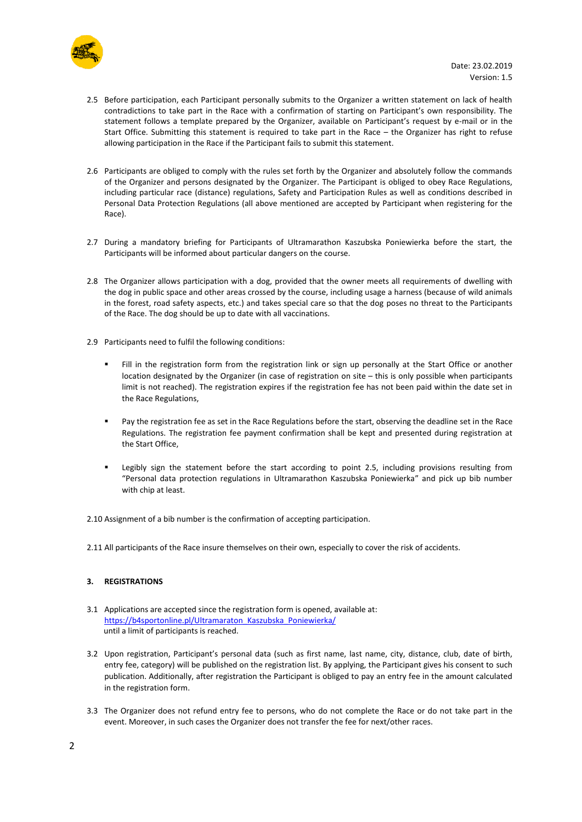

- 2.5 Before participation, each Participant personally submits to the Organizer a written statement on lack of health contradictions to take part in the Race with a confirmation of starting on Participant's own responsibility. The statement follows a template prepared by the Organizer, available on Participant's request by e-mail or in the Start Office. Submitting this statement is required to take part in the Race – the Organizer has right to refuse allowing participation in the Race if the Participant fails to submit this statement.
- 2.6 Participants are obliged to comply with the rules set forth by the Organizer and absolutely follow the commands of the Organizer and persons designated by the Organizer. The Participant is obliged to obey Race Regulations, including particular race (distance) regulations, Safety and Participation Rules as well as conditions described in Personal Data Protection Regulations (all above mentioned are accepted by Participant when registering for the Race).
- 2.7 During a mandatory briefing for Participants of Ultramarathon Kaszubska Poniewierka before the start, the Participants will be informed about particular dangers on the course.
- 2.8 The Organizer allows participation with a dog, provided that the owner meets all requirements of dwelling with the dog in public space and other areas crossed by the course, including usage a harness (because of wild animals in the forest, road safety aspects, etc.) and takes special care so that the dog poses no threat to the Participants of the Race. The dog should be up to date with all vaccinations.
- 2.9 Participants need to fulfil the following conditions:
	- Fill in the registration form from the registration link or sign up personally at the Start Office or another location designated by the Organizer (in case of registration on site – this is only possible when participants limit is not reached). The registration expires if the registration fee has not been paid within the date set in the Race Regulations,
	- Pay the registration fee as set in the Race Regulations before the start, observing the deadline set in the Race Regulations. The registration fee payment confirmation shall be kept and presented during registration at the Start Office,
	- **•** Legibly sign the statement before the start according to point 2.5, including provisions resulting from "Personal data protection regulations in Ultramarathon Kaszubska Poniewierka" and pick up bib number with chip at least.

2.10 Assignment of a bib number is the confirmation of accepting participation.

2.11 All participants of the Race insure themselves on their own, especially to cover the risk of accidents.

# **3. REGISTRATIONS**

- 3.1 Applications are accepted since the registration form is opened, available at: [https://b4sportonline.pl/Ultramaraton\\_Kaszubska\\_Poniewierka/](https://b4sportonline.pl/Ultramaraton_Kaszubska_Poniewierka/) until a limit of participants is reached.
- 3.2 Upon registration, Participant's personal data (such as first name, last name, city, distance, club, date of birth, entry fee, category) will be published on the registration list. By applying, the Participant gives his consent to such publication. Additionally, after registration the Participant is obliged to pay an entry fee in the amount calculated in the registration form.
- 3.3 The Organizer does not refund entry fee to persons, who do not complete the Race or do not take part in the event. Moreover, in such cases the Organizer does not transfer the fee for next/other races.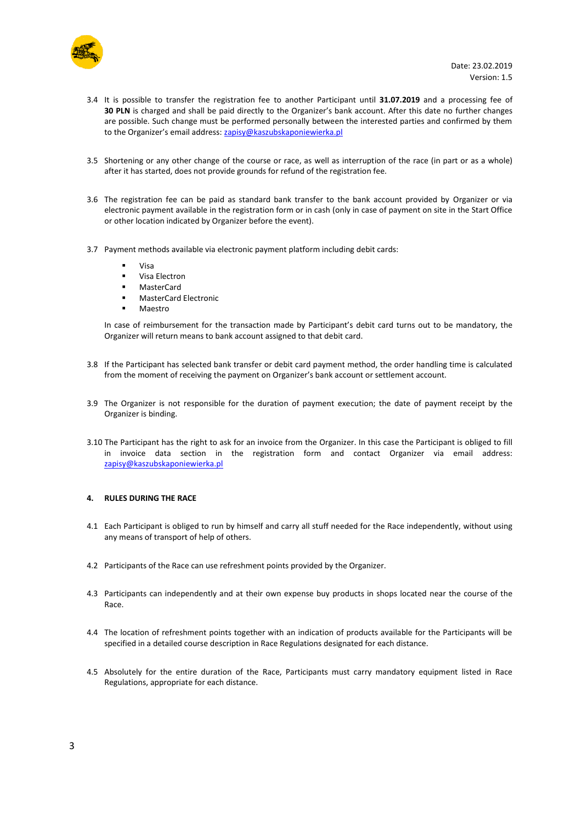

- 3.4 It is possible to transfer the registration fee to another Participant until **31.07.2019** and a processing fee of **30 PLN** is charged and shall be paid directly to the Organizer's bank account. After this date no further changes are possible. Such change must be performed personally between the interested parties and confirmed by them to the Organizer's email address: [zapisy@kaszubskaponiewierka.pl](mailto:zapisy@kaszubskaponiewierka.pl)
- 3.5 Shortening or any other change of the course or race, as well as interruption of the race (in part or as a whole) after it has started, does not provide grounds for refund of the registration fee.
- 3.6 The registration fee can be paid as standard bank transfer to the bank account provided by Organizer or via electronic payment available in the registration form or in cash (only in case of payment on site in the Start Office or other location indicated by Organizer before the event).
- 3.7 Payment methods available via electronic payment platform including debit cards:
	- Visa
	- Visa Electron
	- MasterCard
	- **MasterCard Electronic**
	- Maestro

In case of reimbursement for the transaction made by Participant's debit card turns out to be mandatory, the Organizer will return means to bank account assigned to that debit card.

- 3.8 If the Participant has selected bank transfer or debit card payment method, the order handling time is calculated from the moment of receiving the payment on Organizer's bank account or settlement account.
- 3.9 The Organizer is not responsible for the duration of payment execution; the date of payment receipt by the Organizer is binding.
- 3.10 The Participant has the right to ask for an invoice from the Organizer. In this case the Participant is obliged to fill in invoice data section in the registration form and contact Organizer via email address: [zapisy@kaszubskaponiewierka.pl](mailto:zapisy@kaszubskaponiewierka.pl)

### **4. RULES DURING THE RACE**

- 4.1 Each Participant is obliged to run by himself and carry all stuff needed for the Race independently, without using any means of transport of help of others.
- 4.2 Participants of the Race can use refreshment points provided by the Organizer.
- 4.3 Participants can independently and at their own expense buy products in shops located near the course of the Race.
- 4.4 The location of refreshment points together with an indication of products available for the Participants will be specified in a detailed course description in Race Regulations designated for each distance.
- 4.5 Absolutely for the entire duration of the Race, Participants must carry mandatory equipment listed in Race Regulations, appropriate for each distance.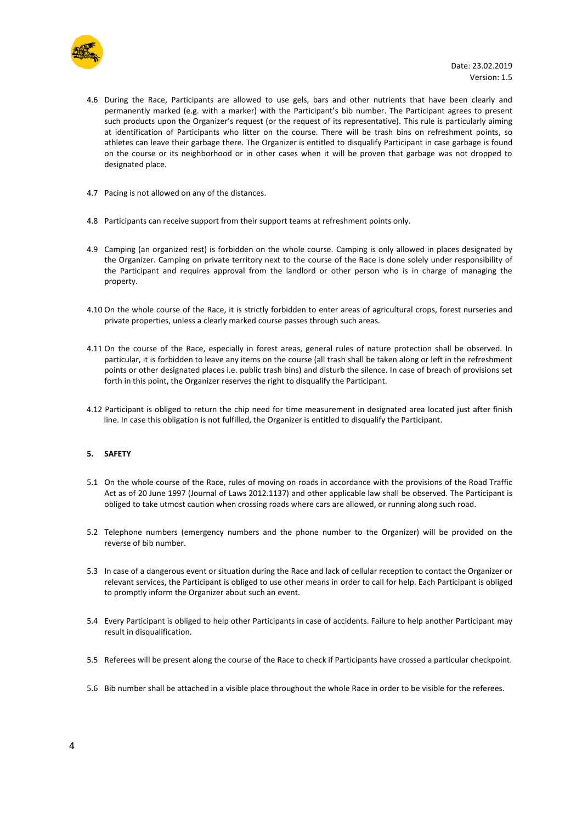

- 4.6 During the Race, Participants are allowed to use gels, bars and other nutrients that have been clearly and permanently marked (e.g. with a marker) with the Participant's bib number. The Participant agrees to present such products upon the Organizer's request (or the request of its representative). This rule is particularly aiming at identification of Participants who litter on the course. There will be trash bins on refreshment points, so athletes can leave their garbage there. The Organizer is entitled to disqualify Participant in case garbage is found on the course or its neighborhood or in other cases when it will be proven that garbage was not dropped to designated place.
- 4.7 Pacing is not allowed on any of the distances.
- 4.8 Participants can receive support from their support teams at refreshment points only.
- 4.9 Camping (an organized rest) is forbidden on the whole course. Camping is only allowed in places designated by the Organizer. Camping on private territory next to the course of the Race is done solely under responsibility of the Participant and requires approval from the landlord or other person who is in charge of managing the property.
- 4.10 On the whole course of the Race, it is strictly forbidden to enter areas of agricultural crops, forest nurseries and private properties, unless a clearly marked course passes through such areas.
- 4.11 On the course of the Race, especially in forest areas, general rules of nature protection shall be observed. In particular, it is forbidden to leave any items on the course (all trash shall be taken along or left in the refreshment points or other designated places i.e. public trash bins) and disturb the silence. In case of breach of provisions set forth in this point, the Organizer reserves the right to disqualify the Participant.
- 4.12 Participant is obliged to return the chip need for time measurement in designated area located just after finish line. In case this obligation is not fulfilled, the Organizer is entitled to disqualify the Participant.

# **5. SAFETY**

- 5.1 On the whole course of the Race, rules of moving on roads in accordance with the provisions of the Road Traffic Act as of 20 June 1997 (Journal of Laws 2012.1137) and other applicable law shall be observed. The Participant is obliged to take utmost caution when crossing roads where cars are allowed, or running along such road.
- 5.2 Telephone numbers (emergency numbers and the phone number to the Organizer) will be provided on the reverse of bib number.
- 5.3 In case of a dangerous event or situation during the Race and lack of cellular reception to contact the Organizer or relevant services, the Participant is obliged to use other means in order to call for help. Each Participant is obliged to promptly inform the Organizer about such an event.
- 5.4 Every Participant is obliged to help other Participants in case of accidents. Failure to help another Participant may result in disqualification.
- 5.5 Referees will be present along the course of the Race to check if Participants have crossed a particular checkpoint.
- 5.6 Bib number shall be attached in a visible place throughout the whole Race in order to be visible for the referees.